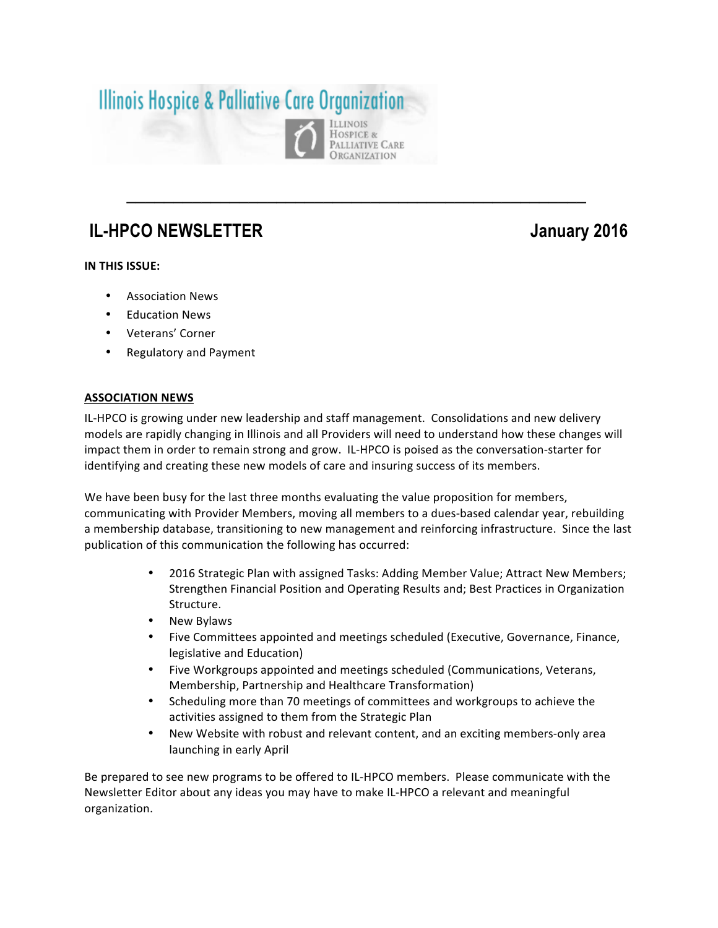# **Illinois Hospice & Palliative Care Organization** OSPICE &

## **IL-HPCO NEWSLETTER** January 2016

### **IN THIS ISSUE:**

- Association News
- **Education News**
- Veterans' Corner
- Regulatory and Payment

#### **ASSOCIATION NEWS**

IL-HPCO is growing under new leadership and staff management. Consolidations and new delivery models are rapidly changing in Illinois and all Providers will need to understand how these changes will impact them in order to remain strong and grow. IL-HPCO is poised as the conversation-starter for identifying and creating these new models of care and insuring success of its members.

**\_\_\_\_\_\_\_\_\_\_\_\_\_\_\_\_\_\_\_\_\_\_\_\_\_\_\_\_\_\_\_\_\_\_\_\_\_\_\_\_\_\_\_\_\_\_\_\_\_**

PALLIATIVE CARE **ORGANIZATION** 

We have been busy for the last three months evaluating the value proposition for members, communicating with Provider Members, moving all members to a dues-based calendar year, rebuilding a membership database, transitioning to new management and reinforcing infrastructure. Since the last publication of this communication the following has occurred:

- 2016 Strategic Plan with assigned Tasks: Adding Member Value; Attract New Members; Strengthen Financial Position and Operating Results and; Best Practices in Organization Structure.
- **New Bylaws**
- Five Committees appointed and meetings scheduled (Executive, Governance, Finance, legislative and Education)
- Five Workgroups appointed and meetings scheduled (Communications, Veterans, Membership, Partnership and Healthcare Transformation)
- Scheduling more than 70 meetings of committees and workgroups to achieve the activities assigned to them from the Strategic Plan
- New Website with robust and relevant content, and an exciting members-only area launching in early April

Be prepared to see new programs to be offered to IL-HPCO members. Please communicate with the Newsletter Editor about any ideas you may have to make IL-HPCO a relevant and meaningful organization.